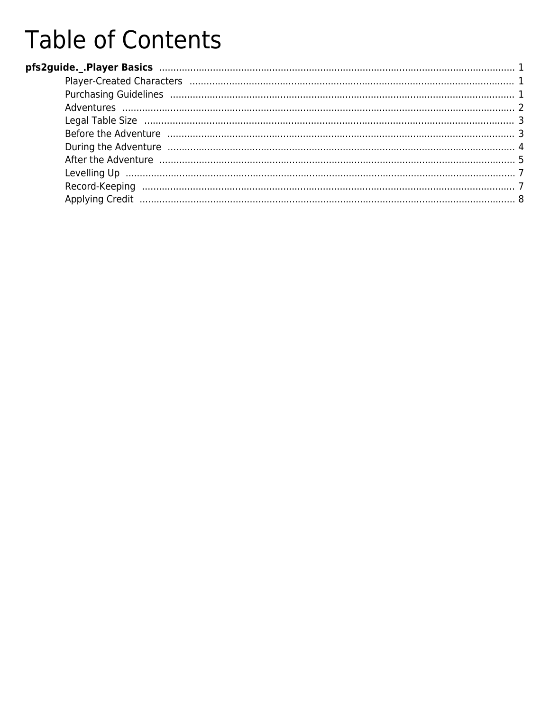# **Table of Contents**

| During the Adventure manufacture and a 4                                                            |  |
|-----------------------------------------------------------------------------------------------------|--|
| After the Adventure music music contracto the contractor of the contractor of the Adventure music 5 |  |
|                                                                                                     |  |
|                                                                                                     |  |
|                                                                                                     |  |
|                                                                                                     |  |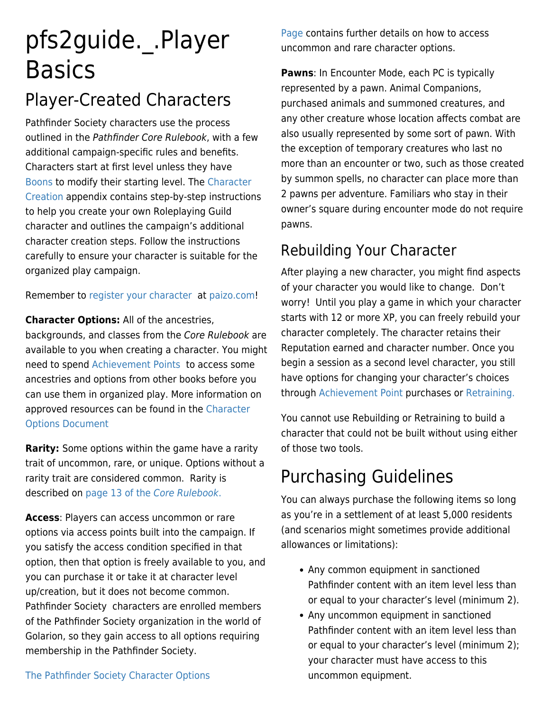# <span id="page-1-0"></span>pfs2guide.\_.Player **Basics**

## Player-Created Characters

Pathfinder Society characters use the process outlined in the Pathfinder Core Rulebook, with a few additional campaign-specific rules and benefits. Characters start at first level unless they have [Boons](https://www.organizedplayfoundation.org/Lorespire/pfs2guide._.Player-Rewards#Boons) to modify their starting level. The [Character](https://www.organizedplayfoundation.org/Lorespire/pfs2guide._.Character-Creation) [Creation](https://www.organizedplayfoundation.org/Lorespire/pfs2guide._.Character-Creation) appendix contains step-by-step instructions to help you create your own Roleplaying Guild character and outlines the campaign's additional character creation steps. Follow the instructions carefully to ensure your character is suitable for the organized play campaign.

Remember to [register your character](https://www.organizedplayfoundation.org/Lorespire/pfs2guide._.Welcome-to-Pathfinder-Society#Using_Your_Own_Character) at [paizo.com!](https://paizo.com/)

**Character Options:** All of the ancestries, backgrounds, and classes from the Core Rulebook are available to you when creating a character. You might need to spend [Achievement Points](https://www.organizedplayfoundation.org/Lorespire/pfs2guide._.Player-Rewards#Achievement_Points) to access some ancestries and options from other books before you can use them in organized play. More information on approved resources can be found in th[e Character](https://paizo.com/pathfindersociety/characteroptions) [Options Document](https://paizo.com/pathfindersociety/characteroptions)

**Rarity:** Some options within the game have a rarity trait of uncommon, rare, or unique. Options without a rarity trait are considered common. Rarity is described on [page 13 of the](http://2e.aonprd.com/Rules.aspx?ID=36) [Core Rulebook](http://2e.aonprd.com/Rules.aspx?ID=36)[.](http://2e.aonprd.com/Rules.aspx?ID=36)

**Access**: Players can access uncommon or rare options via access points built into the campaign. If you satisfy the access condition specified in that option, then that option is freely available to you, and you can purchase it or take it at character level up/creation, but it does not become common. Pathfinder Society characters are enrolled members of the Pathfinder Society organization in the world of Golarion, so they gain access to all options requiring membership in the Pathfinder Society.

[Page](https://paizo.com/pathfindersociety/characteroptions#opco__rarity_access_availability) contains further details on how to access uncommon and rare character options.

**Pawns**: In Encounter Mode, each PC is typically represented by a pawn. Animal Companions, purchased animals and summoned creatures, and any other creature whose location affects combat are also usually represented by some sort of pawn. With the exception of temporary creatures who last no more than an encounter or two, such as those created by summon spells, no character can place more than 2 pawns per adventure. Familiars who stay in their owner's square during encounter mode do not require pawns.

## Rebuilding Your Character

After playing a new character, you might find aspects of your character you would like to change. Don't worry! Until you play a game in which your character starts with 12 or more XP, you can freely rebuild your character completely. The character retains their Reputation earned and character number. Once you begin a session as a second level character, you still have options for changing your character's choices through [Achievement Point](https://www.organizedplayfoundation.org/Lorespire/pfs2guide._.Player-Rewards#Achievement_Points) purchases or [Retraining.](https://www.organizedplayfoundation.org/Lorespire/pfs2guide._.Additional-Character-Options#Downtime)

You cannot use Rebuilding or Retraining to build a character that could not be built without using either of those two tools.

## Purchasing Guidelines

You can always purchase the following items so long as you're in a settlement of at least 5,000 residents (and scenarios might sometimes provide additional allowances or limitations):

- Any common equipment in sanctioned Pathfinder content with an item level less than or equal to your character's level (minimum 2).
- Any uncommon equipment in sanctioned Pathfinder content with an item level less than or equal to your character's level (minimum 2); your character must have access to this uncommon equipment.

[The Pathfinder Society Character Options](https://paizo.com/pathfindersociety/characteroptions#opco__rarity_access_availability)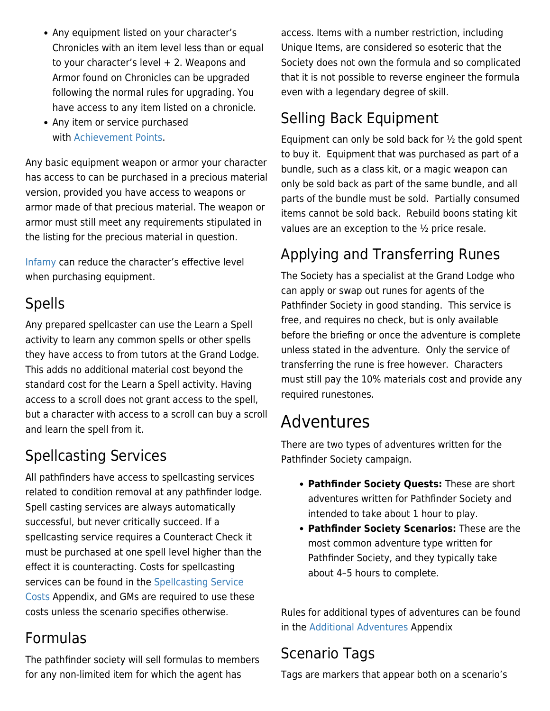- <span id="page-2-0"></span>Any equipment listed on your character's Chronicles with an item level less than or equal to your character's level  $+2$ . Weapons and Armor found on Chronicles can be upgraded following the normal rules for upgrading. You have access to any item listed on a chronicle.
- Any item or service purchased with [Achievement Points.](https://www.organizedplayfoundation.org/Lorespire/pfs2guide._.Player-Rewards#Achievement_Points)

Any basic equipment weapon or armor your character has access to can be purchased in a precious material version, provided you have access to weapons or armor made of that precious material. The weapon or armor must still meet any requirements stipulated in the listing for the precious material in question.

[Infamy](https://www.organizedplayfoundation.org/Lorespire/pfs2guide._.Player-Basics#Infamy) can reduce the character's effective level when purchasing equipment.

## Spells

Any prepared spellcaster can use the Learn a Spell activity to learn any common spells or other spells they have access to from tutors at the Grand Lodge. This adds no additional material cost beyond the standard cost for the Learn a Spell activity. Having access to a scroll does not grant access to the spell, but a character with access to a scroll can buy a scroll and learn the spell from it.

## Spellcasting Services

All pathfinders have access to spellcasting services related to condition removal at any pathfinder lodge. Spell casting services are always automatically successful, but never critically succeed. If a spellcasting service requires a Counteract Check it must be purchased at one spell level higher than the effect it is counteracting. Costs for spellcasting services can be found in the [Spellcasting Service](https://www.organizedplayfoundation.org/Lorespire/pfs2guide._.Spellcasting-Service-Costs) [Costs](https://www.organizedplayfoundation.org/Lorespire/pfs2guide._.Spellcasting-Service-Costs) Appendix, and GMs are required to use these costs unless the scenario specifies otherwise.

### Formulas

The pathfinder society will sell formulas to members for any non-limited item for which the agent has

access. Items with a number restriction, including Unique Items, are considered so esoteric that the Society does not own the formula and so complicated that it is not possible to reverse engineer the formula even with a legendary degree of skill.

## Selling Back Equipment

Equipment can only be sold back for ½ the gold spent to buy it. Equipment that was purchased as part of a bundle, such as a class kit, or a magic weapon can only be sold back as part of the same bundle, and all parts of the bundle must be sold. Partially consumed items cannot be sold back. Rebuild boons stating kit values are an exception to the ½ price resale.

## Applying and Transferring Runes

The Society has a specialist at the Grand Lodge who can apply or swap out runes for agents of the Pathfinder Society in good standing. This service is free, and requires no check, but is only available before the briefing or once the adventure is complete unless stated in the adventure. Only the service of transferring the rune is free however. Characters must still pay the 10% materials cost and provide any required runestones.

## Adventures

There are two types of adventures written for the Pathfinder Society campaign.

- **Pathfinder Society Quests:** These are short adventures written for Pathfinder Society and intended to take about 1 hour to play.
- **Pathfinder Society Scenarios:** These are the most common adventure type written for Pathfinder Society, and they typically take about 4–5 hours to complete.

Rules for additional types of adventures can be found in the [Additional Adventures](https://www.organizedplayfoundation.org/Lorespire/pfs2guide._.Additional-Adventures) Appendix

### Scenario Tags

Tags are markers that appear both on a scenario's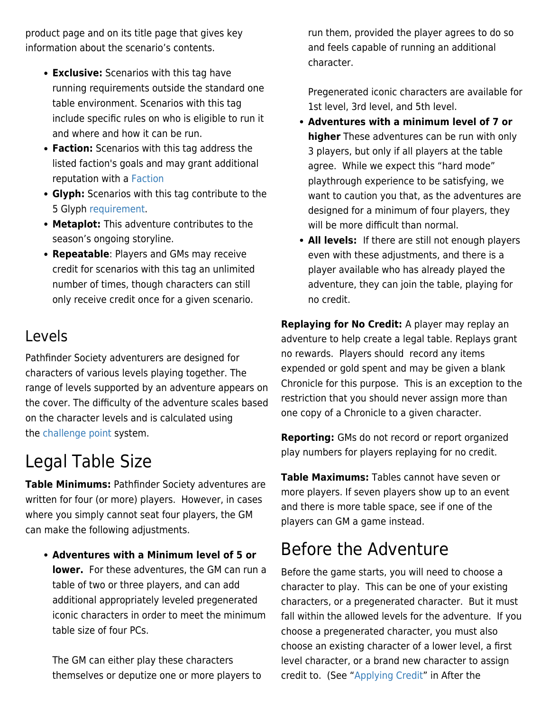<span id="page-3-0"></span>product page and on its title page that gives key information about the scenario's contents.

- **Exclusive:** Scenarios with this tag have running requirements outside the standard one table environment. Scenarios with this tag include specific rules on who is eligible to run it and where and how it can be run.
- **Faction:** Scenarios with this tag address the listed faction's goals and may grant additional reputation with a [Faction](https://www.organizedplayfoundation.org/Lorespire/pfs2guide._.Factions-and-Reputation)
- **Glyph:** Scenarios with this tag contribute to the 5 Glyph [requirement](https://www.organizedplayfoundation.org/Lorespire/pfs2guide._.GM-Rewards#GM_Glyphs).
- **Metaplot:** This adventure contributes to the season's ongoing storyline.
- **Repeatable**: Players and GMs may receive credit for scenarios with this tag an unlimited number of times, though characters can still only receive credit once for a given scenario.

### Levels

Pathfinder Society adventurers are designed for characters of various levels playing together. The range of levels supported by an adventure appears on the cover. The difficulty of the adventure scales based on the character levels and is calculated using the [challenge point](https://www.organizedplayfoundation.org/Lorespire/pfs2guide._.Game-Master-Basics#Challenge_Points) system.

## Legal Table Size

**Table Minimums:** Pathfinder Society adventures are written for four (or more) players. However, in cases where you simply cannot seat four players, the GM can make the following adjustments.

**Adventures with a Minimum level of 5 or lower.** For these adventures, the GM can run a table of two or three players, and can add additional appropriately leveled pregenerated iconic characters in order to meet the minimum table size of four PCs.

The GM can either play these characters themselves or deputize one or more players to run them, provided the player agrees to do so and feels capable of running an additional character.

Pregenerated iconic characters are available for 1st level, 3rd level, and 5th level.

- **Adventures with a minimum level of 7 or higher** These adventures can be run with only 3 players, but only if all players at the table agree. While we expect this "hard mode" playthrough experience to be satisfying, we want to caution you that, as the adventures are designed for a minimum of four players, they will be more difficult than normal.
- **All levels:** If there are still not enough players even with these adjustments, and there is a player available who has already played the adventure, they can join the table, playing for no credit.

**Replaying for No Credit:** A player may replay an adventure to help create a legal table. Replays grant no rewards. Players should record any items expended or gold spent and may be given a blank Chronicle for this purpose. This is an exception to the restriction that you should never assign more than one copy of a Chronicle to a given character.

**Reporting:** GMs do not record or report organized play numbers for players replaying for no credit.

**Table Maximums:** Tables cannot have seven or more players. If seven players show up to an event and there is more table space, see if one of the players can GM a game instead.

## Before the Adventure

Before the game starts, you will need to choose a character to play. This can be one of your existing characters, or a pregenerated character. But it must fall within the allowed levels for the adventure. If you choose a pregenerated character, you must also choose an existing character of a lower level, a first level character, or a brand new character to assign credit to. (See "[Applying Credit](https://www.organizedplayfoundation.org/Lorespire/pfs2guide._.Player-Basics#Applying_Credit)" in After the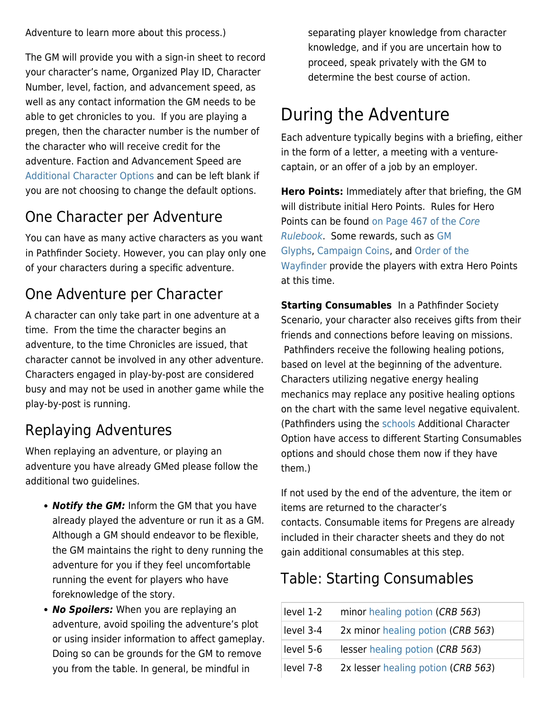<span id="page-4-0"></span>Adventure to learn more about this process.)

The GM will provide you with a sign-in sheet to record your character's name, Organized Play ID, Character Number, level, faction, and advancement speed, as well as any contact information the GM needs to be able to get chronicles to you. If you are playing a pregen, then the character number is the number of the character who will receive credit for the adventure. Faction and Advancement Speed are [Additional Character Options](https://www.organizedplayfoundation.org/Lorespire/pfs2guide._.Additional-Character-Options) and can be left blank if you are not choosing to change the default options.

### One Character per Adventure

You can have as many active characters as you want in Pathfinder Society. However, you can play only one of your characters during a specific adventure.

## One Adventure per Character

A character can only take part in one adventure at a time. From the time the character begins an adventure, to the time Chronicles are issued, that character cannot be involved in any other adventure. Characters engaged in play-by-post are considered busy and may not be used in another game while the play-by-post is running.

## Replaying Adventures

When replaying an adventure, or playing an adventure you have already GMed please follow the additional two guidelines.

- *Notify the GM:* Inform the GM that you have already played the adventure or run it as a GM. Although a GM should endeavor to be flexible, the GM maintains the right to deny running the adventure for you if they feel uncomfortable running the event for players who have foreknowledge of the story.
- *No Spoilers:* When you are replaying an adventure, avoid spoiling the adventure's plot or using insider information to affect gameplay. Doing so can be grounds for the GM to remove you from the table. In general, be mindful in

separating player knowledge from character knowledge, and if you are uncertain how to proceed, speak privately with the GM to determine the best course of action.

## During the Adventure

Each adventure typically begins with a briefing, either in the form of a letter, a meeting with a venturecaptain, or an offer of a job by an employer.

**Hero Points:** Immediately after that briefing, the GM will distribute initial Hero Points. Rules for Hero Points can be found [on Page 467 of the](https://2e.aonprd.com/Rules.aspx?ID=427) [Core](https://2e.aonprd.com/Rules.aspx?ID=427) [Rulebook](https://2e.aonprd.com/Rules.aspx?ID=427). Some rewards, such as [GM](https://www.organizedplayfoundation.org/Lorespire/pfs2guide._.GM-Rewards#GM-Glyphs) [Glyphs](https://www.organizedplayfoundation.org/Lorespire/pfs2guide._.GM-Rewards#GM-Glyphs), [Campaign Coins,](https://www.organizedplayfoundation.org/Lorespire/pfs2guide._.Player-Rewards#Promotional_Service_Award) and [Order of the](https://www.organizedplayfoundation.org/Lorespire/pfs2guide._.Player-Rewards#Promotional_Service_Award) [Wayfinder](https://www.organizedplayfoundation.org/Lorespire/pfs2guide._.Player-Rewards#Promotional_Service_Award) provide the players with extra Hero Points at this time.

**Starting Consumables** In a Pathfinder Society Scenario, your character also receives gifts from their friends and connections before leaving on missions. Pathfinders receive the following healing potions, based on level at the beginning of the adventure. Characters utilizing negative energy healing mechanics may replace any positive healing options on the chart with the same level negative equivalent. (Pathfinders using the [schools](https://www.organizedplayfoundation.org/Lorespire/pfs2guide._.Additional-Character-Options#Schools) Additional Character Option have access to different Starting Consumables options and should chose them now if they have them.)

If not used by the end of the adventure, the item or items are returned to the character's contacts. Consumable items for Pregens are already included in their character sheets and they do not gain additional consumables at this step.

## Table: Starting Consumables

| level 1-2 | minor healing potion (CRB 563)     |
|-----------|------------------------------------|
| level 3-4 | 2x minor healing potion (CRB 563)  |
| level 5-6 | lesser healing potion (CRB 563)    |
| level 7-8 | 2x lesser healing potion (CRB 563) |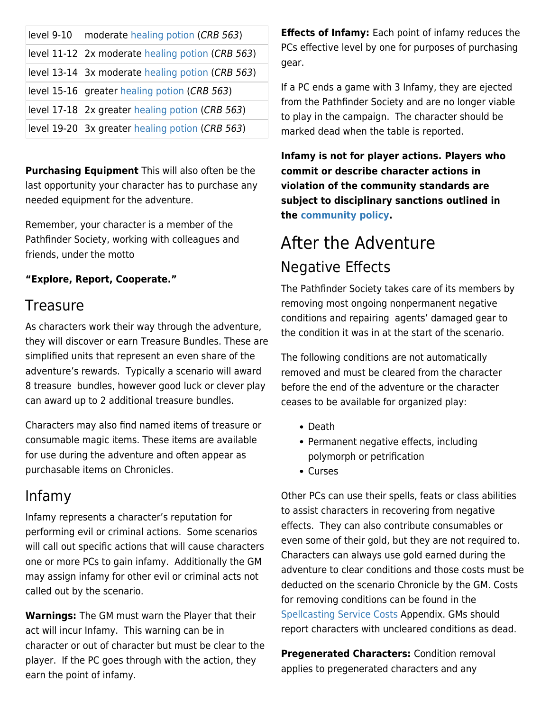<span id="page-5-0"></span>

| level 9-10 | moderate healing potion (CRB 563)                |
|------------|--------------------------------------------------|
|            | level 11-12 2x moderate healing potion (CRB 563) |
|            | level 13-14 3x moderate healing potion (CRB 563) |
|            | level 15-16 greater healing potion (CRB 563)     |
|            | level 17-18 2x greater healing potion (CRB 563)  |
|            | level 19-20 3x greater healing potion (CRB 563)  |

**Purchasing Equipment** This will also often be the last opportunity your character has to purchase any needed equipment for the adventure.

Remember, your character is a member of the Pathfinder Society, working with colleagues and friends, under the motto

#### **"Explore, Report, Cooperate."**

#### **Treasure**

As characters work their way through the adventure, they will discover or earn Treasure Bundles. These are simplified units that represent an even share of the adventure's rewards. Typically a scenario will award 8 treasure bundles, however good luck or clever play can award up to 2 additional treasure bundles.

Characters may also find named items of treasure or consumable magic items. These items are available for use during the adventure and often appear as purchasable items on Chronicles.

### Infamy

Infamy represents a character's reputation for performing evil or criminal actions. Some scenarios will call out specific actions that will cause characters one or more PCs to gain infamy. Additionally the GM may assign infamy for other evil or criminal acts not called out by the scenario.

**Warnings:** The GM must warn the Player that their act will incur Infamy. This warning can be in character or out of character but must be clear to the player. If the PC goes through with the action, they earn the point of infamy.

**Effects of Infamy:** Each point of infamy reduces the PCs effective level by one for purposes of purchasing gear.

If a PC ends a game with 3 Infamy, they are ejected from the Pathfinder Society and are no longer viable to play in the campaign. The character should be marked dead when the table is reported.

**Infamy is not for player actions. Players who commit or describe character actions in violation of the community standards are subject to disciplinary sanctions outlined in the [community policy](https://www.organizedplayfoundation.org/Lorespire/pfs2guide._.Community-Standards-and-Expectations#Violation_Enforcement_Procedures).**

## After the Adventure Negative Effects

The Pathfinder Society takes care of its members by removing most ongoing nonpermanent negative conditions and repairing agents' damaged gear to the condition it was in at the start of the scenario.

The following conditions are not automatically removed and must be cleared from the character before the end of the adventure or the character ceases to be available for organized play:

- Death
- Permanent negative effects, including polymorph or petrification
- Curses

Other PCs can use their spells, feats or class abilities to assist characters in recovering from negative effects. They can also contribute consumables or even some of their gold, but they are not required to. Characters can always use gold earned during the adventure to clear conditions and those costs must be deducted on the scenario Chronicle by the GM. Costs for removing conditions can be found in the [Spellcasting Service Costs](https://www.organizedplayfoundation.org/Lorespire/pfs2guide._.Spellcasting-Service-Costs) Appendix. GMs should report characters with uncleared conditions as dead.

**Pregenerated Characters:** Condition removal applies to pregenerated characters and any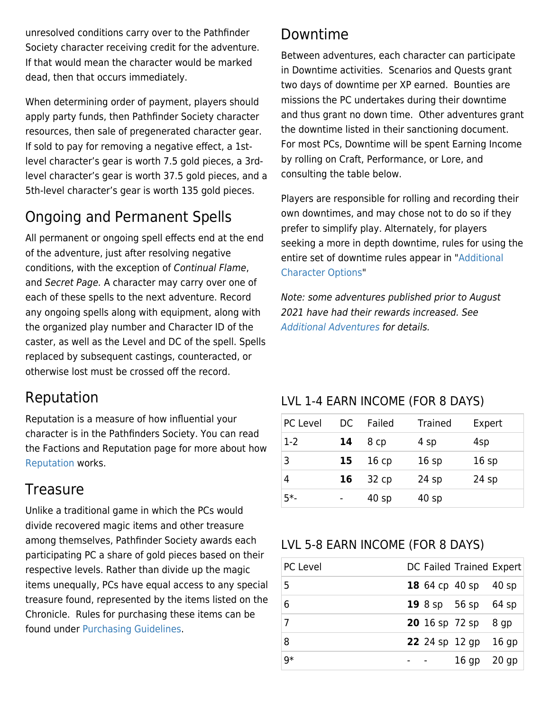unresolved conditions carry over to the Pathfinder Society character receiving credit for the adventure. If that would mean the character would be marked dead, then that occurs immediately.

When determining order of payment, players should apply party funds, then Pathfinder Society character resources, then sale of pregenerated character gear. If sold to pay for removing a negative effect, a 1stlevel character's gear is worth 7.5 gold pieces, a 3rdlevel character's gear is worth 37.5 gold pieces, and a 5th-level character's gear is worth 135 gold pieces.

## Ongoing and Permanent Spells

All permanent or ongoing spell effects end at the end of the adventure, just after resolving negative conditions, with the exception of Continual Flame, and Secret Page. A character may carry over one of each of these spells to the next adventure. Record any ongoing spells along with equipment, along with the organized play number and Character ID of the caster, as well as the Level and DC of the spell. Spells replaced by subsequent castings, counteracted, or otherwise lost must be crossed off the record.

### Reputation

Reputation is a measure of how influential your character is in the Pathfinders Society. You can read the Factions and Reputation page for more about how [Reputation](https://www.organizedplayfoundation.org/Lorespire/pfs2guide._.Factions-and-Reputation#Reputation) works.

### **Treasure**

Unlike a traditional game in which the PCs would divide recovered magic items and other treasure among themselves, Pathfinder Society awards each participating PC a share of gold pieces based on their respective levels. Rather than divide up the magic items unequally, PCs have equal access to any special treasure found, represented by the items listed on the Chronicle. Rules for purchasing these items can be found under [Purchasing Guidelines.](https://www.organizedplayfoundation.org/Lorespire/pfs2guide._.Player-Basics#Purchasing_Guidelines)

### Downtime

Between adventures, each character can participate in Downtime activities. Scenarios and Quests grant two days of downtime per XP earned. Bounties are missions the PC undertakes during their downtime and thus grant no down time. Other adventures grant the downtime listed in their sanctioning document. For most PCs, Downtime will be spent Earning Income by rolling on Craft, Performance, or Lore, and consulting the table below.

Players are responsible for rolling and recording their own downtimes, and may chose not to do so if they prefer to simplify play. Alternately, for players seeking a more in depth downtime, rules for using the entire set of downtime rules appear in "[Additional](https://www.organizedplayfoundation.org/Lorespire/pfs2guide._.Additional-Character-Options#Downtimes) [Character Options](https://www.organizedplayfoundation.org/Lorespire/pfs2guide._.Additional-Character-Options#Downtimes)"

Note: some adventures published prior to August 2021 have had their rewards increased. See [Additional Adventures](https://www.organizedplayfoundation.org/Lorespire/pfs2guide._.Additional-Adventures#Revised_Player_Rewards) for details.

#### LVL 1-4 EARN INCOME (FOR 8 DAYS)

| PC Level | DC. | Failed           | <b>Trained</b> | Expert |
|----------|-----|------------------|----------------|--------|
| $1-2$    | 14  | 8 cp             | 4 sp           | 4sp    |
| 3        | 15  | 16 <sub>cp</sub> | 16sp           | 16sp   |
| 4        | 16  | 32 cp            | $24$ sp        | 24 sp  |
| $5*$     |     | 40 sp            | 40 sp          |        |

#### LVL 5-8 EARN INCOME (FOR 8 DAYS)

| PC Level | DC Failed Trained Expert    |
|----------|-----------------------------|
|          |                             |
| 5        | 18 64 cp 40 sp 40 sp        |
| 6        | 19 8 sp 56 sp 64 sp         |
|          | <b>20</b> 16 sp 72 sp 8 gp  |
| 8        | <b>22</b> 24 sp 12 gp 16 gp |
| q*       | $16$ gp $20$ gp             |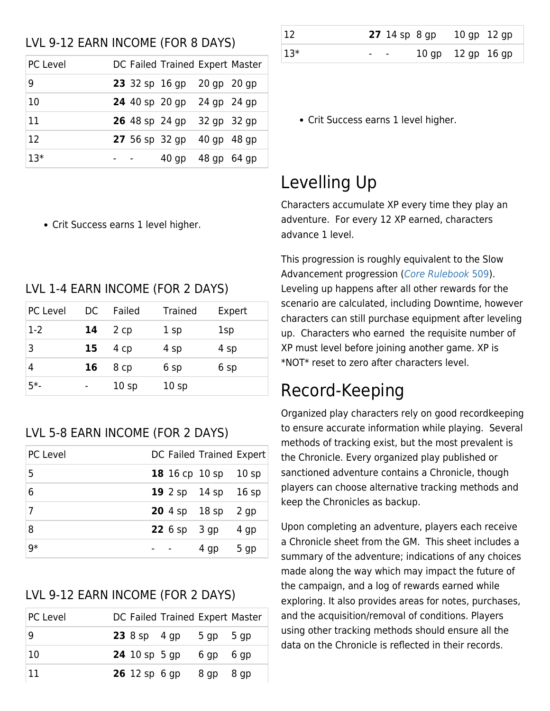#### <span id="page-7-0"></span>LVL 9-12 EARN INCOME (FOR 8 DAYS)

| PC Level |  | DC Failed Trained Expert Master   |  |
|----------|--|-----------------------------------|--|
| 9        |  | <b>23</b> 32 sp 16 gp 20 gp 20 gp |  |
| 10       |  | 24 40 sp 20 gp 24 gp 24 gp        |  |
| 11       |  | <b>26</b> 48 sp 24 gp 32 gp 32 gp |  |
| 12       |  | 27 56 sp 32 gp 40 gp 48 gp        |  |
| $13*$    |  | 40 gp 48 gp 64 gp                 |  |

• Crit Success earns 1 level higher.

#### LVL 1-4 EARN INCOME (FOR 2 DAYS)

| PC Level | DC | Failed | <b>Trained</b> | Expert |
|----------|----|--------|----------------|--------|
| $1-2$    | 14 | 2 cp   | 1 sp           | 1sp    |
| 3        | 15 | 4 cp   | 4 sp           | 4 sp   |
| 4        | 16 | 8 cp   | 6 sp           | 6 sp   |
| $5*$     |    | 10sp   | 10sp           |        |

### LVL 5-8 EARN INCOME (FOR 2 DAYS)

| PC Level | DC Failed Trained Expert        |
|----------|---------------------------------|
| 5        | 18 16 cp 10 sp<br>10sp          |
| 6        | 19 $2$ sp $14$ sp<br>16sp       |
| 7        | <b>20</b> 4 sp 18 sp<br>2 gp    |
| 8        | <b>22</b> $6$ sp $3$ gp<br>4 gp |
| 9*       | 5 gp<br>4 gp                    |

#### LVL 9-12 EARN INCOME (FOR 2 DAYS)

| <b>PC Level</b> |  | DC Failed Trained Expert Master |           |      |
|-----------------|--|---------------------------------|-----------|------|
| -9              |  | 2385p4qp                        | 5 gp      | 5 gp |
| 10              |  | <b>24</b> 10 sp 5 gp            | 6 gp 6 gp |      |
| 11              |  | <b>26</b> 12 sp 6 gp            | 8 gp      | 8 ap |

| 12    |      | <b>27</b> 14 sp 8 gp 10 gp 12 gp |  |
|-------|------|----------------------------------|--|
| $13*$ | $ -$ | $10$ gp $12$ gp $16$ gp          |  |

• Crit Success earns 1 level higher.

## Levelling Up

Characters accumulate XP every time they play an adventure. For every 12 XP earned, characters advance 1 level.

This progression is roughly equivalent to the Slow Advancement progression ([Core Rulebook](https://2e.aonprd.com/Rules.aspx?ID=574) [509\)](https://2e.aonprd.com/Rules.aspx?ID=574). Leveling up happens after all other rewards for the scenario are calculated, including Downtime, however characters can still purchase equipment after leveling up. Characters who earned the requisite number of XP must level before joining another game. XP is \*NOT\* reset to zero after characters level.

## Record-Keeping

Organized play characters rely on good recordkeeping to ensure accurate information while playing. Several methods of tracking exist, but the most prevalent is the Chronicle. Every organized play published or sanctioned adventure contains a Chronicle, though players can choose alternative tracking methods and keep the Chronicles as backup.

Upon completing an adventure, players each receive a Chronicle sheet from the GM. This sheet includes a summary of the adventure; indications of any choices made along the way which may impact the future of the campaign, and a log of rewards earned while exploring. It also provides areas for notes, purchases, and the acquisition/removal of conditions. Players using other tracking methods should ensure all the data on the Chronicle is reflected in their records.